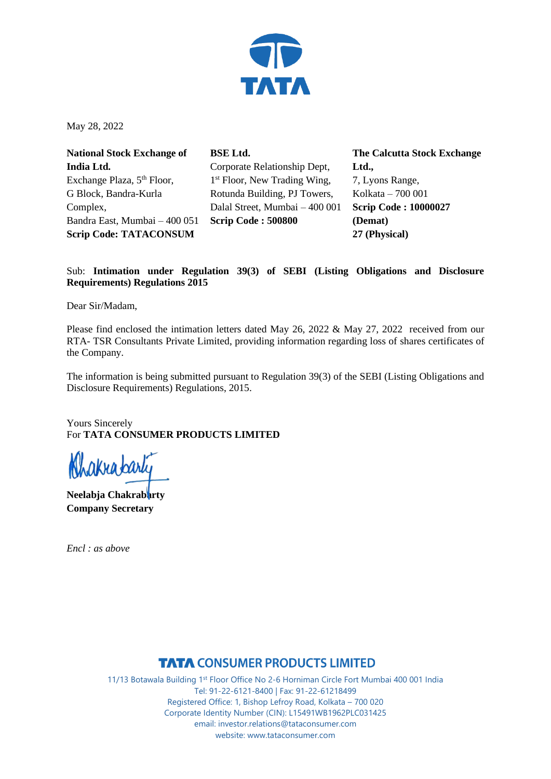

May 28, 2022

**National Stock Exchange of India Ltd.** Exchange Plaza, 5<sup>th</sup> Floor, G Block, Bandra-Kurla Complex, Bandra East, Mumbai – 400 051 **Scrip Code: TATACONSUM**

**BSE Ltd.** Corporate Relationship Dept, 1<sup>st</sup> Floor, New Trading Wing, Rotunda Building, PJ Towers, Dalal Street, Mumbai – 400 001 **Scrip Code : 500800**

**The Calcutta Stock Exchange Ltd.,** 7, Lyons Range, Kolkata – 700 001 **Scrip Code : 10000027 (Demat) 27 (Physical)**

### Sub: **Intimation under Regulation 39(3) of SEBI (Listing Obligations and Disclosure Requirements) Regulations 2015**

Dear Sir/Madam,

Please find enclosed the intimation letters dated May 26, 2022 & May 27, 2022 received from our RTA- TSR Consultants Private Limited, providing information regarding loss of shares certificates of the Company.

The information is being submitted pursuant to Regulation 39(3) of the SEBI (Listing Obligations and Disclosure Requirements) Regulations, 2015.

Yours Sincerely For **TATA CONSUMER PRODUCTS LIMITED**

akrabarly

**Neelabia Chakrabarty Company Secretary**

*Encl : as above*

### **TATA CONSUMER PRODUCTS LIMITED**

11/13 Botawala Building 1st Floor Office No 2-6 Horniman Circle Fort Mumbai 400 001 India Tel: 91-22-6121-8400 | Fax: 91-22-61218499 Registered Office: 1, Bishop Lefroy Road, Kolkata – 700 020 Corporate Identity Number (CIN): L15491WB1962PLC031425 email: investor.relations@tataconsumer.com website: www.tataconsumer.com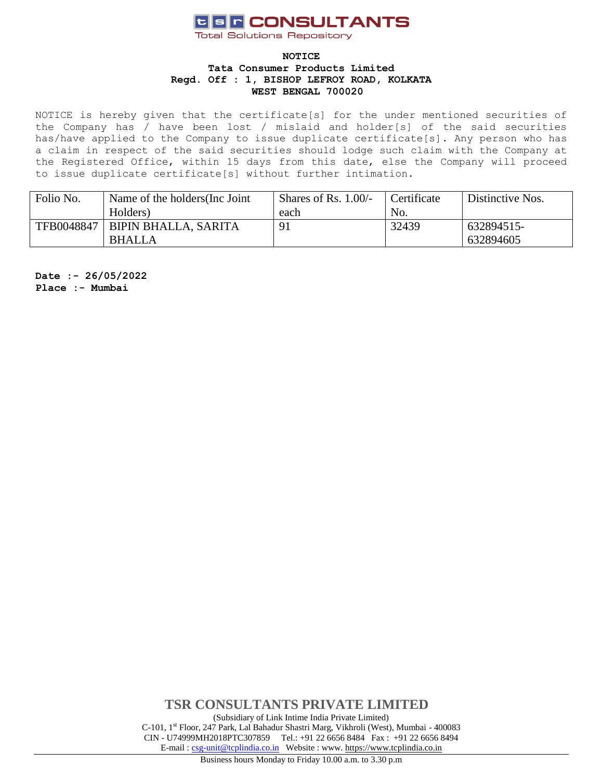# **USF CONSULTANTS**

**Total Solutions Repository** 

#### **NOTICE Tata Consumer Products Limited Regd. Off : 1, BISHOP LEFROY ROAD, KOLKATA WEST BENGAL 700020**

NOTICE is hereby given that the certificate[s] for the under mentioned securities of the Company has / have been lost / mislaid and holder[s] of the said securities has/have applied to the Company to issue duplicate certificate[s]. Any person who has a claim in respect of the said securities should lodge such claim with the Company at the Registered Office, within 15 days from this date, else the Company will proceed to issue duplicate certificate[s] without further intimation.

| Folio No.  | Name of the holders (Inc. Joint | Shares of Rs. $1.00/-$ | Certificate | Distinctive Nos. |
|------------|---------------------------------|------------------------|-------------|------------------|
|            | Holders)                        | each                   | No.         |                  |
| TFB0048847 | <b>BIPIN BHALLA, SARITA</b>     | -91                    | 32439       | 632894515-       |
|            | <b>BHALLA</b>                   |                        |             | 632894605        |

**Date :- 26/05/2022 Place :- Mumbai**

> **TSR CONSULTANTS PRIVATE LIMITED** (Subsidiary of Link Intime India Private Limited) C-101, 1st Floor, 247 Park, Lal Bahadur Shastri Marg, Vikhroli (West), Mumbai - 400083 CIN - U74999MH2018PTC307859Tel.: +91 22 6656 8484 Fax : +91 22 6656 8494 E-mail [: csg-unit@tcplindia.co.in](mailto:csg-unit@tcplindia.co.in) Website : www. [https://www.tcplindia.co.in](http://www.tsrdarashaw.com/)

Business hours Monday to Friday 10.00 a.m. to 3.30 p.m